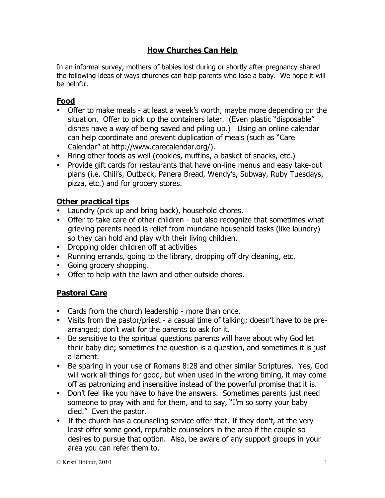## **How Churches Can Help**

In an informal survey, mothers of babies lost during or shortly after pregnancy shared the following ideas of ways churches can help parents who lose a baby. We hope it will be helpful.

# **Food**

- Offer to make meals at least a week's worth, maybe more depending on the situation. Offer to pick up the containers later. (Even plastic "disposable" dishes have a way of being saved and piling up.) Using an online calendar can help coordinate and prevent duplication of meals (such as "Care Calendar" at http://www.carecalendar.org/).
- Bring other foods as well (cookies, muffins, a basket of snacks, etc.)
- Provide gift cards for restaurants that have on-line menus and easy take-out plans (i.e. Chili's, Outback, Panera Bread, Wendy's, Subway, Ruby Tuesdays, pizza, etc.) and for grocery stores.

# **Other practical tips**

- Laundry (pick up and bring back), household chores.
- Offer to take care of other children but also recognize that sometimes what grieving parents need is relief from mundane household tasks (like laundry) so they can hold and play with their living children.
- Dropping older children off at activities
- Running errands, going to the library, dropping off dry cleaning, etc.
- Going grocery shopping.
- Offer to help with the lawn and other outside chores.

# **Pastoral Care**

- Cards from the church leadership more than once.
- Visits from the pastor/priest a casual time of talking; doesn't have to be prearranged; don't wait for the parents to ask for it.
- Be sensitive to the spiritual questions parents will have about why God let their baby die; sometimes the question is a question, and sometimes it is just a lament.
- Be sparing in your use of Romans 8:28 and other similar Scriptures. Yes, God will work all things for good, but when used in the wrong timing, it may come off as patronizing and insensitive instead of the powerful promise that it is.
- Don't feel like you have to have the answers. Sometimes parents just need someone to pray with and for them, and to say, "I'm so sorry your baby died." Even the pastor.
- If the church has a counseling service offer that. If they don't, at the very least offer some good, reputable counselors in the area if the couple so desires to pursue that option. Also, be aware of any support groups in your area you can refer them to.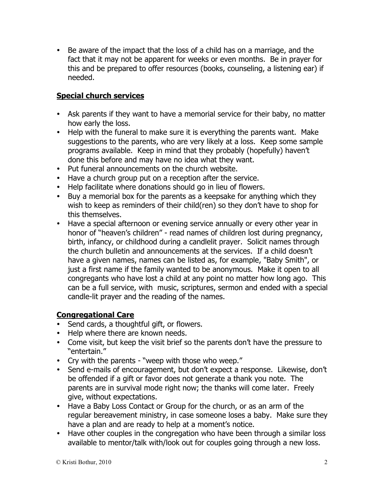Be aware of the impact that the loss of a child has on a marriage, and the fact that it may not be apparent for weeks or even months. Be in prayer for this and be prepared to offer resources (books, counseling, a listening ear) if needed.

#### **Special church services**

- Ask parents if they want to have a memorial service for their baby, no matter how early the loss.
- Help with the funeral to make sure it is everything the parents want. Make suggestions to the parents, who are very likely at a loss. Keep some sample programs available. Keep in mind that they probably (hopefully) haven't done this before and may have no idea what they want.
- Put funeral announcements on the church website.
- Have a church group put on a reception after the service.
- Help facilitate where donations should go in lieu of flowers.
- Buy a memorial box for the parents as a keepsake for anything which they wish to keep as reminders of their child(ren) so they don't have to shop for this themselves.
- Have a special afternoon or evening service annually or every other year in honor of "heaven's children" - read names of children lost during pregnancy, birth, infancy, or childhood during a candlelit prayer. Solicit names through the church bulletin and announcements at the services. If a child doesn't have a given names, names can be listed as, for example, "Baby Smith", or just a first name if the family wanted to be anonymous. Make it open to all congregants who have lost a child at any point no matter how long ago. This can be a full service, with music, scriptures, sermon and ended with a special candle-lit prayer and the reading of the names.

#### **Congregational Care**

- Send cards, a thoughtful gift, or flowers.
- Help where there are known needs.
- Come visit, but keep the visit brief so the parents don't have the pressure to "entertain."
- Cry with the parents "weep with those who weep."
- Send e-mails of encouragement, but don't expect a response. Likewise, don't be offended if a gift or favor does not generate a thank you note. The parents are in survival mode right now; the thanks will come later. Freely give, without expectations.
- Have a Baby Loss Contact or Group for the church, or as an arm of the regular bereavement ministry, in case someone loses a baby. Make sure they have a plan and are ready to help at a moment's notice.
- Have other couples in the congregation who have been through a similar loss available to mentor/talk with/look out for couples going through a new loss.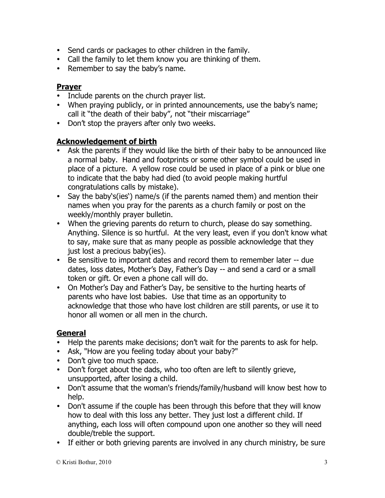- Send cards or packages to other children in the family.
- Call the family to let them know you are thinking of them.
- Remember to say the baby's name.

#### **Prayer**

- Include parents on the church prayer list.
- When praying publicly, or in printed announcements, use the baby's name; call it "the death of their baby", not "their miscarriage"
- Don't stop the prayers after only two weeks.

#### **Acknowledgement of birth**

- Ask the parents if they would like the birth of their baby to be announced like a normal baby. Hand and footprints or some other symbol could be used in place of a picture. A yellow rose could be used in place of a pink or blue one to indicate that the baby had died (to avoid people making hurtful congratulations calls by mistake).
- Say the baby's(ies') name/s (if the parents named them) and mention their names when you pray for the parents as a church family or post on the weekly/monthly prayer bulletin.
- When the grieving parents do return to church, please do say something. Anything. Silence is so hurtful. At the very least, even if you don't know what to say, make sure that as many people as possible acknowledge that they just lost a precious baby(ies).
- Be sensitive to important dates and record them to remember later -- due dates, loss dates, Mother's Day, Father's Day -- and send a card or a small token or gift. Or even a phone call will do.
- On Mother's Day and Father's Day, be sensitive to the hurting hearts of parents who have lost babies. Use that time as an opportunity to acknowledge that those who have lost children are still parents, or use it to honor all women or all men in the church.

### **General**

- Help the parents make decisions; don't wait for the parents to ask for help.
- Ask, "How are you feeling today about your baby?"
- Don't give too much space.
- Don't forget about the dads, who too often are left to silently grieve, unsupported, after losing a child.
- Don't assume that the woman's friends/family/husband will know best how to help.
- Don't assume if the couple has been through this before that they will know how to deal with this loss any better. They just lost a different child. If anything, each loss will often compound upon one another so they will need double/treble the support.
- If either or both grieving parents are involved in any church ministry, be sure